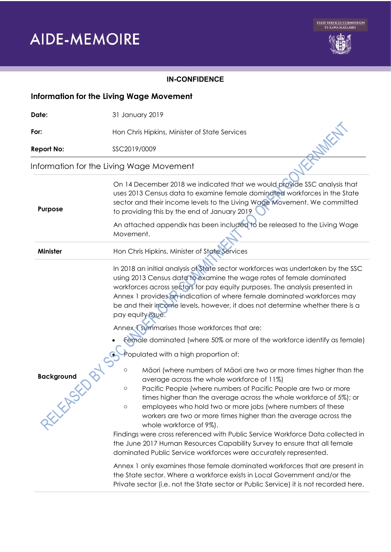# **AIDE-MEMOIRE**



### **IN-CONFIDENCE**

| <b>Information for the Living Wage Movement</b> |                                                                                                                                                                                                                                                                                                                                                                                                                                                                                                                                                                                                                                                                                                                                                                                                                                                                                                                                                                                                                                                                                                                                                                                                                                                                                                                                                                                                                                                                                                                                                    |
|-------------------------------------------------|----------------------------------------------------------------------------------------------------------------------------------------------------------------------------------------------------------------------------------------------------------------------------------------------------------------------------------------------------------------------------------------------------------------------------------------------------------------------------------------------------------------------------------------------------------------------------------------------------------------------------------------------------------------------------------------------------------------------------------------------------------------------------------------------------------------------------------------------------------------------------------------------------------------------------------------------------------------------------------------------------------------------------------------------------------------------------------------------------------------------------------------------------------------------------------------------------------------------------------------------------------------------------------------------------------------------------------------------------------------------------------------------------------------------------------------------------------------------------------------------------------------------------------------------------|
| Date:                                           | 31 January 2019                                                                                                                                                                                                                                                                                                                                                                                                                                                                                                                                                                                                                                                                                                                                                                                                                                                                                                                                                                                                                                                                                                                                                                                                                                                                                                                                                                                                                                                                                                                                    |
| For:                                            | Hon Chris Hipkins, Minister of State Services                                                                                                                                                                                                                                                                                                                                                                                                                                                                                                                                                                                                                                                                                                                                                                                                                                                                                                                                                                                                                                                                                                                                                                                                                                                                                                                                                                                                                                                                                                      |
| <b>Report No:</b>                               | SSC2019/0009                                                                                                                                                                                                                                                                                                                                                                                                                                                                                                                                                                                                                                                                                                                                                                                                                                                                                                                                                                                                                                                                                                                                                                                                                                                                                                                                                                                                                                                                                                                                       |
| Information for the Living Wage Movement        |                                                                                                                                                                                                                                                                                                                                                                                                                                                                                                                                                                                                                                                                                                                                                                                                                                                                                                                                                                                                                                                                                                                                                                                                                                                                                                                                                                                                                                                                                                                                                    |
| Purpose                                         | On 14 December 2018 we indicated that we would provide SSC analysis that<br>uses 2013 Census data to examine female dominated workforces in the State<br>sector and their income levels to the Living Wage Movement. We committed<br>to providing this by the end of January 2019                                                                                                                                                                                                                                                                                                                                                                                                                                                                                                                                                                                                                                                                                                                                                                                                                                                                                                                                                                                                                                                                                                                                                                                                                                                                  |
|                                                 | An attached appendix has been included to be released to the Living Wage<br>Movement.                                                                                                                                                                                                                                                                                                                                                                                                                                                                                                                                                                                                                                                                                                                                                                                                                                                                                                                                                                                                                                                                                                                                                                                                                                                                                                                                                                                                                                                              |
| <b>Minister</b>                                 | Hon Chris Hipkins, Minister of State Services                                                                                                                                                                                                                                                                                                                                                                                                                                                                                                                                                                                                                                                                                                                                                                                                                                                                                                                                                                                                                                                                                                                                                                                                                                                                                                                                                                                                                                                                                                      |
| <b>Background</b><br>XXXXXXXX                   | In 2018 an initial analysis of State sector workforces was undertaken by the SSC<br>using 2013 Census data to examine the wage rates of female dominated<br>workforces across sectors for pay equity purposes. The analysis presented in<br>Annex 1 provides an indication of where female dominated workforces may<br>be and their income levels, however, it does not determine whether there is a<br>pay equity issue.<br>Annex Summarises those workforces that are:<br>Female dominated (where 50% or more of the workforce identify as female)<br>Populated with a high proportion of:<br>Māori (where numbers of Māori are two or more times higher than the<br>$\circ$<br>average across the whole workforce of 11%)<br>Pacific People (where numbers of Pacific People are two or more<br>$\circ$<br>times higher than the average across the whole workforce of 5%); or<br>employees who hold two or more jobs (where numbers of these<br>$\circ$<br>workers are two or more times higher than the average across the<br>whole workforce of 9%).<br>Findings were cross referenced with Public Service Workforce Data collected in<br>the June 2017 Human Resources Capability Survey to ensure that all female<br>dominated Public Service workforces were accurately represented.<br>Annex 1 only examines those female dominated workforces that are present in<br>the State sector. Where a workforce exists in Local Government and/or the<br>Private sector (i.e. not the State sector or Public Service) it is not recorded here. |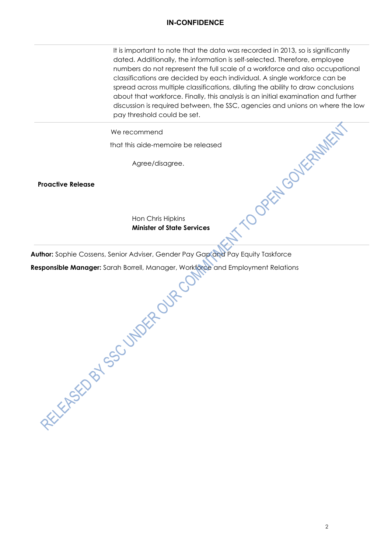#### **IN-CONFIDENCE**

It is important to note that the data was recorded in 2013, so is significantly dated. Additionally, the information is self-selected. Therefore, employee numbers do not represent the full scale of a workforce and also occupational classifications are decided by each individual. A single workforce can be spread across multiple classifications, diluting the ability to draw conclusions about that workforce. Finally, this analysis is an initial examination and further discussion is required between, the SSC, agencies and unions on where the low pay threshold could be set. ATTOOREW COVERAMENT

We recommend

that this aide-memoire be released

Agree/disagree.

**Proactive Release**

Hon Chris Hipkins **Minister of State Services**

Author: Sophie Cossens, Senior Adviser, Gender Pay Gap and Pay Equity Taskforce<br>
Responsible Manager: Sarah Borrell, Manager, Workforce and Employment Relation<br>
Responsible Manager: Sarah Borrell, Manager, Workforce<br>
ARECO **Responsible Manager:** Sarah Borrell, Manager, Workforce and Employment Relations

2